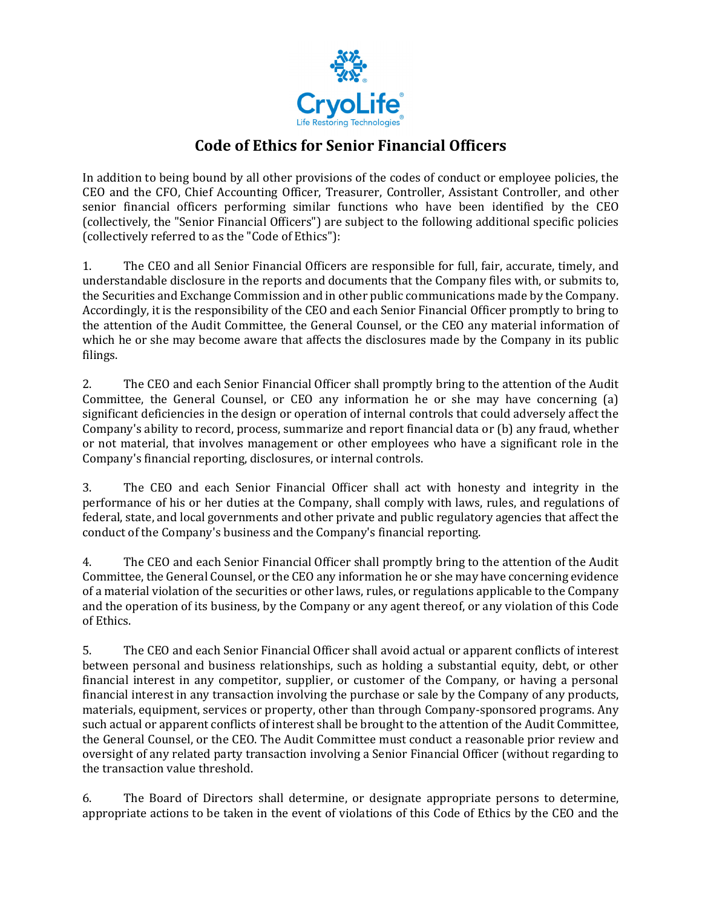

## **Code of Ethics for Senior Financial Officers**

In addition to being bound by all other provisions of the codes of conduct or employee policies, the CEO and the CFO, Chief Accounting Officer, Treasurer, Controller, Assistant Controller, and other senior financial officers performing similar functions who have been identified by the CEO (collectively, the "Senior Financial Officers") are subject to the following additional specific policies (collectively referred to as the "Code of Ethics"):

1. The CEO and all Senior Financial Officers are responsible for full, fair, accurate, timely, and understandable disclosure in the reports and documents that the Company files with, or submits to, the Securities and Exchange Commission and in other public communications made by the Company. Accordingly, it is the responsibility of the CEO and each Senior Financial Officer promptly to bring to the attention of the Audit Committee, the General Counsel, or the CEO any material information of which he or she may become aware that affects the disclosures made by the Company in its public filings.

2. The CEO and each Senior Financial Officer shall promptly bring to the attention of the Audit Committee, the General Counsel, or CEO any information he or she may have concerning (a) significant deficiencies in the design or operation of internal controls that could adversely affect the Company's ability to record, process, summarize and report financial data or (b) any fraud, whether or not material, that involves management or other employees who have a significant role in the Company's financial reporting, disclosures, or internal controls.

3. The CEO and each Senior Financial Officer shall act with honesty and integrity in the performance of his or her duties at the Company, shall comply with laws, rules, and regulations of federal, state, and local governments and other private and public regulatory agencies that affect the conduct of the Company's business and the Company's financial reporting.

4. The CEO and each Senior Financial Officer shall promptly bring to the attention of the Audit Committee, the General Counsel, or the CEO any information he or she may have concerning evidence of a material violation of the securities or other laws, rules, or regulations applicable to the Company and the operation of its business, by the Company or any agent thereof, or any violation of this Code of Ethics.

5. The CEO and each Senior Financial Officer shall avoid actual or apparent conflicts of interest between personal and business relationships, such as holding a substantial equity, debt, or other financial interest in any competitor, supplier, or customer of the Company, or having a personal financial interest in any transaction involving the purchase or sale by the Company of any products, materials, equipment, services or property, other than through Company-sponsored programs. Any such actual or apparent conflicts of interest shall be brought to the attention of the Audit Committee, the General Counsel, or the CEO. The Audit Committee must conduct a reasonable prior review and oversight of any related party transaction involving a Senior Financial Officer (without regarding to the transaction value threshold.

6. The Board of Directors shall determine, or designate appropriate persons to determine, appropriate actions to be taken in the event of violations of this Code of Ethics by the CEO and the